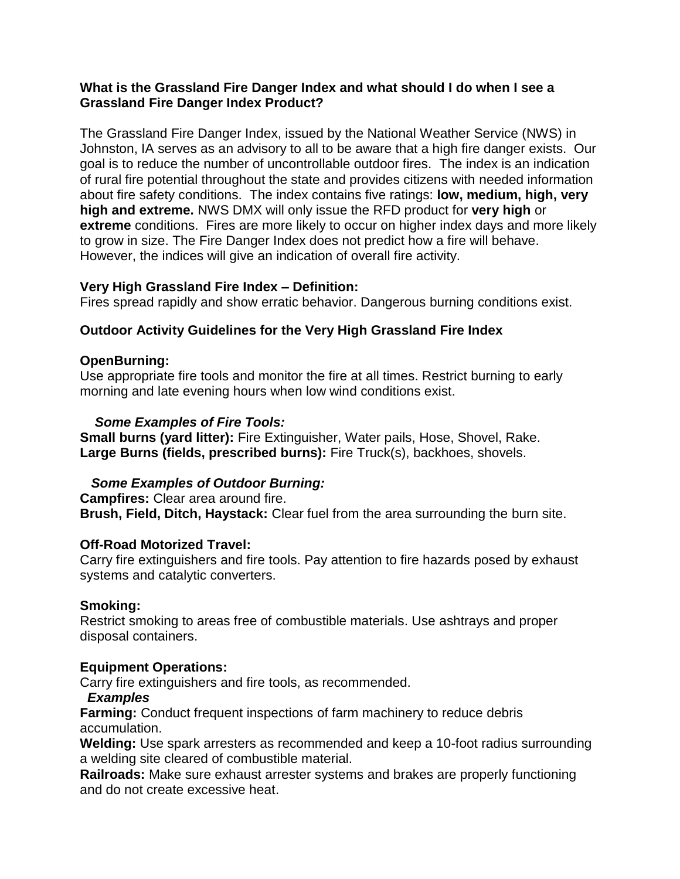#### **What is the Grassland Fire Danger Index and what should I do when I see a Grassland Fire Danger Index Product?**

The Grassland Fire Danger Index, issued by the National Weather Service (NWS) in Johnston, IA serves as an advisory to all to be aware that a high fire danger exists. Our goal is to reduce the number of uncontrollable outdoor fires. The index is an indication of rural fire potential throughout the state and provides citizens with needed information about fire safety conditions. The index contains five ratings: **low, medium, high, very high and extreme.** NWS DMX will only issue the RFD product for **very high** or **extreme** conditions. Fires are more likely to occur on higher index days and more likely to grow in size. The Fire Danger Index does not predict how a fire will behave. However, the indices will give an indication of overall fire activity.

## **Very High Grassland Fire Index – Definition:**

Fires spread rapidly and show erratic behavior. Dangerous burning conditions exist.

# **Outdoor Activity Guidelines for the Very High Grassland Fire Index**

## **OpenBurning:**

Use appropriate fire tools and monitor the fire at all times. Restrict burning to early morning and late evening hours when low wind conditions exist.

## *Some Examples of Fire Tools:*

**Small burns (yard litter):** Fire Extinguisher, Water pails, Hose, Shovel, Rake. **Large Burns (fields, prescribed burns):** Fire Truck(s), backhoes, shovels.

# *Some Examples of Outdoor Burning:*

**Campfires:** Clear area around fire. **Brush, Field, Ditch, Haystack:** Clear fuel from the area surrounding the burn site.

## **Off-Road Motorized Travel:**

Carry fire extinguishers and fire tools. Pay attention to fire hazards posed by exhaust systems and catalytic converters.

## **Smoking:**

Restrict smoking to areas free of combustible materials. Use ashtrays and proper disposal containers.

## **Equipment Operations:**

Carry fire extinguishers and fire tools, as recommended.

## *Examples*

**Farming:** Conduct frequent inspections of farm machinery to reduce debris accumulation.

**Welding:** Use spark arresters as recommended and keep a 10-foot radius surrounding a welding site cleared of combustible material.

**Railroads:** Make sure exhaust arrester systems and brakes are properly functioning and do not create excessive heat.